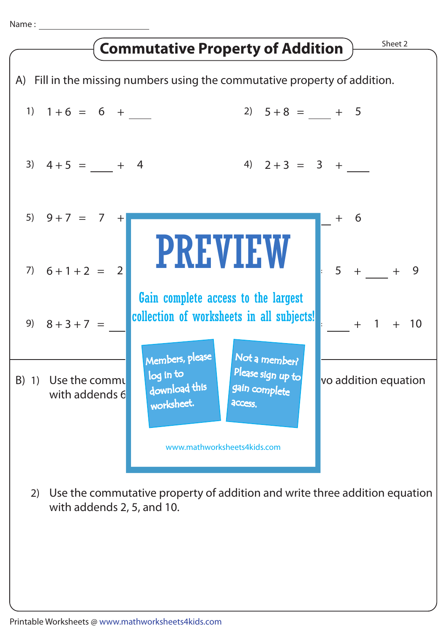